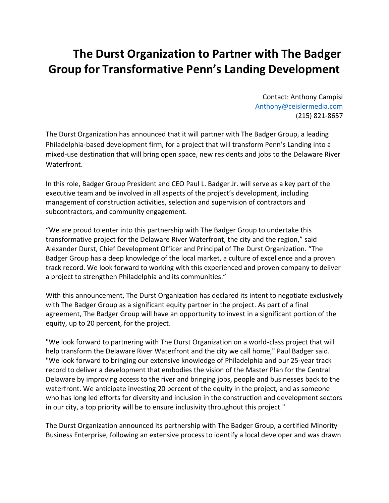## **The Durst Organization to Partner with The Badger Group for Transformative Penn's Landing Development**

Contact: Anthony Campisi [Anthony@ceislermedia.com](mailto:Anthony@ceislermedia.com) (215) 821-8657

The Durst Organization has announced that it will partner with The Badger Group, a leading Philadelphia-based development firm, for a project that will transform Penn's Landing into a mixed-use destination that will bring open space, new residents and jobs to the Delaware River Waterfront.

In this role, Badger Group President and CEO Paul L. Badger Jr. will serve as a key part of the executive team and be involved in all aspects of the project's development, including management of construction activities, selection and supervision of contractors and subcontractors, and community engagement.

"We are proud to enter into this partnership with The Badger Group to undertake this transformative project for the Delaware River Waterfront, the city and the region," said Alexander Durst, Chief Development Officer and Principal of The Durst Organization. "The Badger Group has a deep knowledge of the local market, a culture of excellence and a proven track record. We look forward to working with this experienced and proven company to deliver a project to strengthen Philadelphia and its communities."

With this announcement, The Durst Organization has declared its intent to negotiate exclusively with The Badger Group as a significant equity partner in the project. As part of a final agreement, The Badger Group will have an opportunity to invest in a significant portion of the equity, up to 20 percent, for the project.

"We look forward to partnering with The Durst Organization on a world-class project that will help transform the Delaware River Waterfront and the city we call home," Paul Badger said. "We look forward to bringing our extensive knowledge of Philadelphia and our 25-year track record to deliver a development that embodies the vision of the Master Plan for the Central Delaware by improving access to the river and bringing jobs, people and businesses back to the waterfront. We anticipate investing 20 percent of the equity in the project, and as someone who has long led efforts for diversity and inclusion in the construction and development sectors in our city, a top priority will be to ensure inclusivity throughout this project."

The Durst Organization announced its partnership with The Badger Group, a certified Minority Business Enterprise, following an extensive process to identify a local developer and was drawn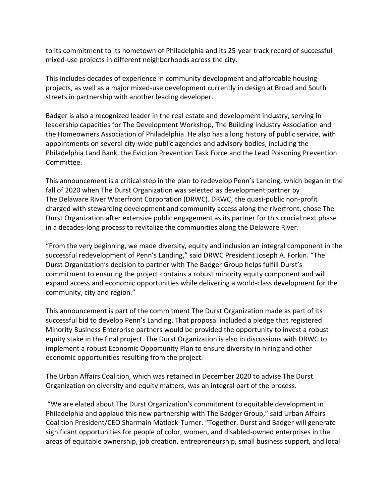to its commitment to its hometown of Philadelphia and its 25-year track record of successful mixed-use projects in different neighborhoods across the city.

This includes decades of experience in community development and affordable housing projects, as well as a major mixed-use development currently in design at Broad and South streets in partnership with another leading developer.

Badger is also a recognized leader in the real estate and development industry, serving in leadership capacities for The Development Workshop, The Building Industry Association and the Homeowners Association of Philadelphia. He also has a long history of public service, with appointments on several city-wide public agencies and advisory bodies, including the Philadelphia Land Bank, the Eviction Prevention Task Force and the Lead Poisoning Prevention Committee.

This announcement is a critical step in the plan to redevelop Penn's Landing, which began in the fall of 2020 when The Durst Organization was selected as development partner by The Delaware River Waterfront Corporation (DRWC). DRWC, the quasi-public non-profit charged with stewarding development and community access along the riverfront, chose The Durst Organization after extensive public engagement as its partner for this crucial next phase in a decades-long process to revitalize the communities along the Delaware River.

"From the very beginning, we made diversity, equity and inclusion an integral component in the successful redevelopment of Penn's Landing," said DRWC President Joseph A. Forkin. "The Durst Organization's decision to partner with The Badger Group helps fulfill Durst's commitment to ensuring the project contains a robust minority equity component and will expand access and economic opportunities while delivering a world-class development for the community, city and region."

This announcement is part of the commitment The Durst Organization made as part of its successful bid to develop Penn's Landing. That proposal included a pledge that registered Minority Business Enterprise partners would be provided the opportunity to invest a robust equity stake in the final project. The Durst Organization is also in discussions with DRWC to implement a robust Economic Opportunity Plan to ensure diversity in hiring and other economic opportunities resulting from the project.

The Urban Affairs Coalition, which was retained in December 2020 to advise The Durst Organization on diversity and equity matters, was an integral part of the process.

"We are elated about The Durst Organization's commitment to equitable development in Philadelphia and applaud this new partnership with The Badger Group," said Urban Affairs Coalition President/CEO Sharmain Matlock-Turner. "Together, Durst and Badger will generate significant opportunities for people of color, women, and disabled-owned enterprises in the areas of equitable ownership, job creation, entrepreneurship, small business support, and local